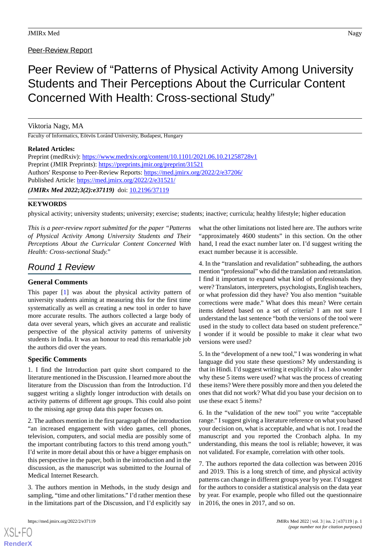# Peer-Review Report

# Peer Review of "Patterns of Physical Activity Among University Students and Their Perceptions About the Curricular Content Concerned With Health: Cross-sectional Study"

# Viktoria Nagy, MA

Faculty of Informatics, Eötvös Loránd University, Budapest, Hungary

### **Related Articles:**

| Preprint (medRxiv): https://www.medrxiv.org/content/10.1101/2021.06.10.21258728v1 |
|-----------------------------------------------------------------------------------|
| Preprint (JMIR Preprints): https://preprints.jmir.org/preprint/31521              |
| Authors' Response to Peer-Review Reports: https://med.jmirx.org/2022/2/e37206/    |
| Published Article: https://med.jmirx.org/2022/2/e31521/                           |
| ( <i>JMIRx Med 2022;3(2):e37119</i> ) doi: $10.2196/37119$                        |

### **KEYWORDS**

physical activity; university students; university; exercise; students; inactive; curricula; healthy lifestyle; higher education

*This is a peer-review report submitted for the paper "Patterns of Physical Activity Among University Students and Their Perceptions About the Curricular Content Concerned With Health: Cross-sectional Study."*

# *Round 1 Review*

# **General Comments**

This paper [[1\]](#page-1-0) was about the physical activity pattern of university students aiming at measuring this for the first time systematically as well as creating a new tool in order to have more accurate results. The authors collected a large body of data over several years, which gives an accurate and realistic perspective of the physical activity patterns of university students in India. It was an honour to read this remarkable job the authors did over the years.

# **Specific Comments**

1. I find the Introduction part quite short compared to the literature mentioned in the Discussion. I learned more about the literature from the Discussion than from the Introduction. I'd suggest writing a slightly longer introduction with details on activity patterns of different age groups. This could also point to the missing age group data this paper focuses on.

2. The authors mention in the first paragraph of the introduction "an increased engagement with video games, cell phones, television, computers, and social media are possibly some of the important contributing factors to this trend among youth." I'd write in more detail about this or have a bigger emphasis on this perspective in the paper, both in the introduction and in the discussion, as the manuscript was submitted to the Journal of Medical Internet Research.

3. The authors mention in Methods, in the study design and sampling, "time and other limitations." I'd rather mention these in the limitations part of the Discussion, and I'd explicitly say

[XSL](http://www.w3.org/Style/XSL)•FO **[RenderX](http://www.renderx.com/)**

what the other limitations not listed here are. The authors write "approximately 4600 students" in this section. On the other hand, I read the exact number later on. I'd suggest writing the exact number because it is accessible.

4. In the "translation and revalidation" subheading, the authors mention "professional" who did the translation and retranslation. I find it important to expand what kind of professionals they were? Translators, interpreters, psychologists, English teachers, or what profession did they have? You also mention "suitable corrections were made." What does this mean? Were certain items deleted based on a set of criteria? I am not sure I understand the last sentence "both the versions of the tool were used in the study to collect data based on student preference." I wonder if it would be possible to make it clear what two versions were used?

5. In the "development of a new tool," I was wondering in what language did you state these questions? My understanding is that in Hindi. I'd suggest writing it explicitly if so. I also wonder why these 5 items were used? what was the process of creating these items? Were there possibly more and then you deleted the ones that did not work? What did you base your decision on to use these exact 5 items?

6. In the "validation of the new tool" you write "acceptable range." I suggest giving a literature reference on what you based your decision on, what is acceptable, and what is not. I read the manuscript and you reported the Cronbach alpha. In my understanding, this means the tool is reliable; however, it was not validated. For example, correlation with other tools.

7. The authors reported the data collection was between 2016 and 2019. This is a long stretch of time, and physical activity patterns can change in different groups year by year. I'd suggest for the authors to consider a statistical analysis on the data year by year. For example, people who filled out the questionnaire in 2016, the ones in 2017, and so on.